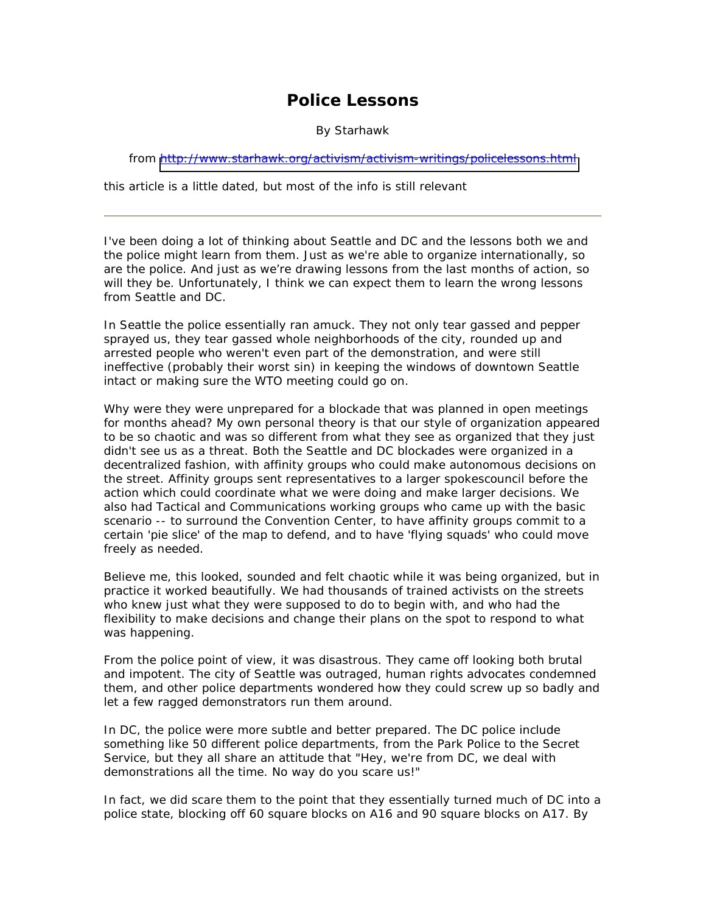## **Police Lessons**

By Starhawk

from <http://www.starhawk.org/activism/activism-writings/policelessons.html>

*this article is a little dated, but most of the info is still relevant* 

I've been doing a lot of thinking about Seattle and DC and the lessons both we and the police might learn from them. Just as we're able to organize internationally, so are the police. And just as we're drawing lessons from the last months of action, so will they be. Unfortunately, I think we can expect them to learn the wrong lessons from Seattle and DC.

In Seattle the police essentially ran amuck. They not only tear gassed and pepper sprayed us, they tear gassed whole neighborhoods of the city, rounded up and arrested people who weren't even part of the demonstration, and were still ineffective (probably their worst sin) in keeping the windows of downtown Seattle intact or making sure the WTO meeting could go on.

Why were they were unprepared for a blockade that was planned in open meetings for months ahead? My own personal theory is that our style of organization appeared to be so chaotic and was so different from what they see as organized that they just didn't see us as a threat. Both the Seattle and DC blockades were organized in a decentralized fashion, with affinity groups who could make autonomous decisions on the street. Affinity groups sent representatives to a larger spokescouncil before the action which could coordinate what we were doing and make larger decisions. We also had Tactical and Communications working groups who came up with the basic scenario -- to surround the Convention Center, to have affinity groups commit to a certain 'pie slice' of the map to defend, and to have 'flying squads' who could move freely as needed.

Believe me, this looked, sounded and felt chaotic while it was being organized, but in practice it worked beautifully. We had thousands of trained activists on the streets who knew just what they were supposed to do to begin with, and who had the flexibility to make decisions and change their plans on the spot to respond to what was happening.

From the police point of view, it was disastrous. They came off looking both brutal and impotent. The city of Seattle was outraged, human rights advocates condemned them, and other police departments wondered how they could screw up so badly and let a few ragged demonstrators run them around.

In DC, the police were more subtle and better prepared. The DC police include something like 50 different police departments, from the Park Police to the Secret Service, but they all share an attitude that "Hey, we're from DC, we deal with demonstrations all the time. No way do you scare us!"

In fact, we did scare them to the point that they essentially turned much of DC into a police state, blocking off 60 square blocks on A16 and 90 square blocks on A17. By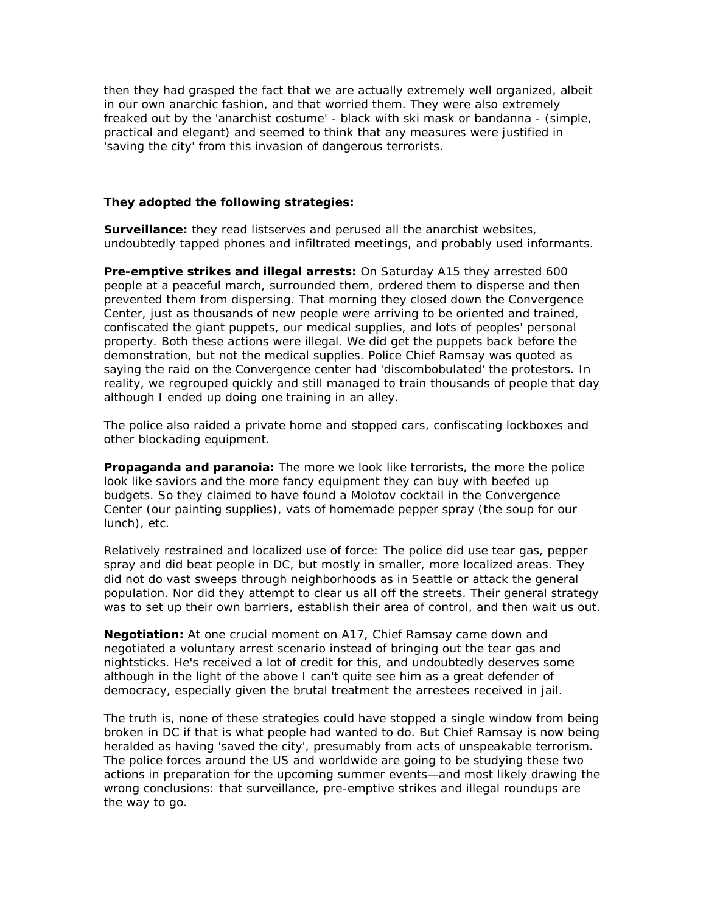then they had grasped the fact that we are actually extremely well organized, albeit in our own anarchic fashion, and that worried them. They were also extremely freaked out by the 'anarchist costume' - black with ski mask or bandanna - (simple, practical and elegant) and seemed to think that any measures were justified in 'saving the city' from this invasion of dangerous terrorists.

## **They adopted the following strategies:**

**Surveillance:** they read listserves and perused all the anarchist websites, undoubtedly tapped phones and infiltrated meetings, and probably used informants.

**Pre-emptive strikes and illegal arrests:** On Saturday A15 they arrested 600 people at a peaceful march, surrounded them, ordered them to disperse and then prevented them from dispersing. That morning they closed down the Convergence Center, just as thousands of new people were arriving to be oriented and trained, confiscated the giant puppets, our medical supplies, and lots of peoples' personal property. Both these actions were illegal. We did get the puppets back before the demonstration, but not the medical supplies. Police Chief Ramsay was quoted as saying the raid on the Convergence center had 'discombobulated' the protestors. In reality, we regrouped quickly and still managed to train thousands of people that day although I ended up doing one training in an alley.

The police also raided a private home and stopped cars, confiscating lockboxes and other blockading equipment.

**Propaganda and paranoia:** The more we look like terrorists, the more the police look like saviors and the more fancy equipment they can buy with beefed up budgets. So they claimed to have found a Molotov cocktail in the Convergence Center (our painting supplies), vats of homemade pepper spray (the soup for our lunch), etc.

Relatively restrained and localized use of force: The police did use tear gas, pepper spray and did beat people in DC, but mostly in smaller, more localized areas. They did not do vast sweeps through neighborhoods as in Seattle or attack the general population. Nor did they attempt to clear us all off the streets. Their general strategy was to set up their own barriers, establish their area of control, and then wait us out.

**Negotiation:** At one crucial moment on A17, Chief Ramsay came down and negotiated a voluntary arrest scenario instead of bringing out the tear gas and nightsticks. He's received a lot of credit for this, and undoubtedly deserves some although in the light of the above I can't quite see him as a great defender of democracy, especially given the brutal treatment the arrestees received in jail.

The truth is, none of these strategies could have stopped a single window from being broken in DC if that is what people had wanted to do. But Chief Ramsay is now being heralded as having 'saved the city', presumably from acts of unspeakable terrorism. The police forces around the US and worldwide are going to be studying these two actions in preparation for the upcoming summer events—and most likely drawing the wrong conclusions: that surveillance, pre-emptive strikes and illegal roundups are the way to go.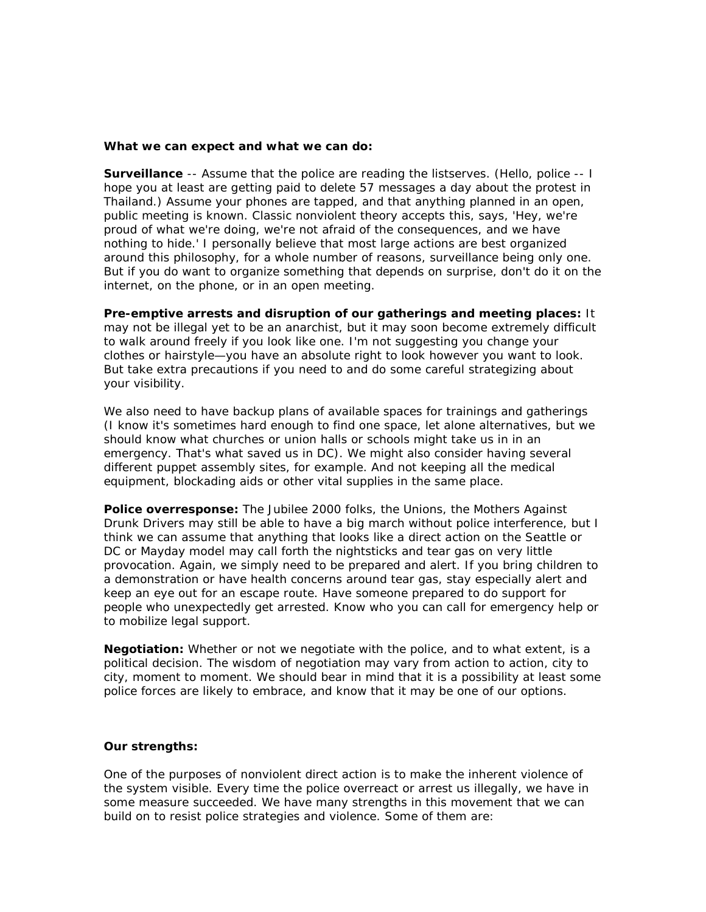## **What we can expect and what we can do:**

**Surveillance** -- Assume that the police are reading the listserves. (Hello, police -- I hope you at least are getting paid to delete 57 messages a day about the protest in Thailand.) Assume your phones are tapped, and that anything planned in an open, public meeting is known. Classic nonviolent theory accepts this, says, 'Hey, we're proud of what we're doing, we're not afraid of the consequences, and we have nothing to hide.' I personally believe that most large actions are best organized around this philosophy, for a whole number of reasons, surveillance being only one. But if you do want to organize something that depends on surprise, don't do it on the internet, on the phone, or in an open meeting.

**Pre-emptive arrests and disruption of our gatherings and meeting places:** It may not be illegal yet to be an anarchist, but it may soon become extremely difficult to walk around freely if you look like one. I'm not suggesting you change your clothes or hairstyle—you have an absolute right to look however you want to look. But take extra precautions if you need to and do some careful strategizing about your visibility.

We also need to have backup plans of available spaces for trainings and gatherings (I know it's sometimes hard enough to find one space, let alone alternatives, but we should know what churches or union halls or schools might take us in in an emergency. That's what saved us in DC). We might also consider having several different puppet assembly sites, for example. And not keeping all the medical equipment, blockading aids or other vital supplies in the same place.

**Police overresponse:** The Jubilee 2000 folks, the Unions, the Mothers Against Drunk Drivers may still be able to have a big march without police interference, but I think we can assume that anything that looks like a direct action on the Seattle or DC or Mayday model may call forth the nightsticks and tear gas on very little provocation. Again, we simply need to be prepared and alert. If you bring children to a demonstration or have health concerns around tear gas, stay especially alert and keep an eye out for an escape route. Have someone prepared to do support for people who unexpectedly get arrested. Know who you can call for emergency help or to mobilize legal support.

**Negotiation:** Whether or not we negotiate with the police, and to what extent, is a political decision. The wisdom of negotiation may vary from action to action, city to city, moment to moment. We should bear in mind that it is a possibility at least some police forces are likely to embrace, and know that it may be one of our options.

## **Our strengths:**

One of the purposes of nonviolent direct action is to make the inherent violence of the system visible. Every time the police overreact or arrest us illegally, we have in some measure succeeded. We have many strengths in this movement that we can build on to resist police strategies and violence. Some of them are: